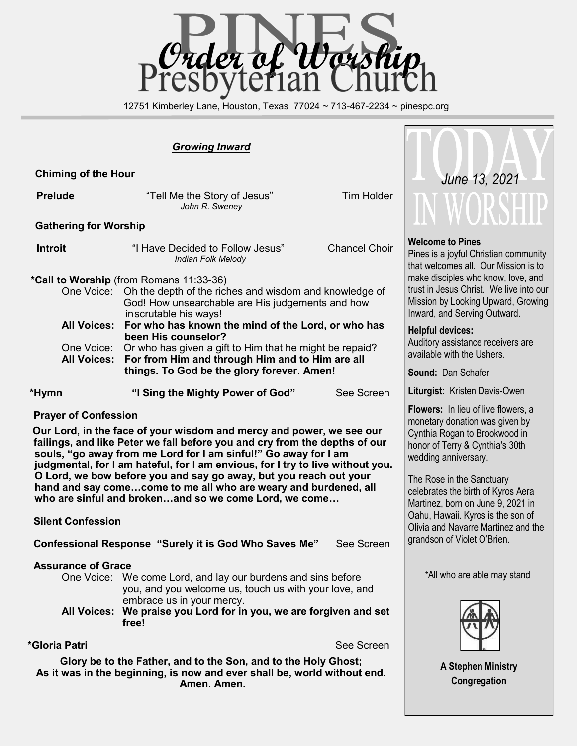

12751 Kimberley Lane, Houston, Texas 77024 ~ 713-467-2234 ~ pinespc.org

### *Growing Inward*

 **Chiming of the Hour**

**Prelude Example 3** Tell Me the Story of Jesus" Tim Holder *John R. Sweney*

#### **Gathering for Worship**

 **Introit** "I Have Decided to Follow Jesus" Chancel Choir *Indian Folk Melody*

#### **\*Call to Worship** (from Romans 11:33-36)

| One Voice: Oh the depth of the riches and wisdom and knowledge of  |
|--------------------------------------------------------------------|
| God! How unsearchable are His judgements and how                   |
| inscrutable his ways!                                              |
| All Voices: For who has known the mind of the Lord, or who has     |
| been His counselor?                                                |
| One Voice: Or who has given a gift to Him that he might be repaid? |
| All Voices: For from Him and through Him and to Him are all        |
| things. To God be the glory forever. Amen!                         |

 **\*Hymn "I Sing the Mighty Power of God"** See Screen

#### **Prayer of Confession**

**Our Lord, in the face of your wisdom and mercy and power, we see our failings, and like Peter we fall before you and cry from the depths of our souls, "go away from me Lord for I am sinful!" Go away for I am judgmental, for I am hateful, for I am envious, for I try to live without you. O Lord, we bow before you and say go away, but you reach out your hand and say come…come to me all who are weary and burdened, all who are sinful and broken…and so we come Lord, we come…**

# **Silent Confession**

 **Confessional Response "Surely it is God Who Saves Me"** See Screen

#### **Assurance of Grace**

One Voice: We come Lord, and lay our burdens and sins before you, and you welcome us, touch us with your love, and embrace us in your mercy.

**All Voices: We praise you Lord for in you, we are forgiven and set free!**

**\*Gloria Patri See Screen** 

**Glory be to the Father, and to the Son, and to the Holy Ghost; As it was in the beginning, is now and ever shall be, world without end. Amen. Amen.** 



#### **Welcome to Pines**

Pines is a joyful Christian community that welcomes all. Our Mission is to make disciples who know, love, and trust in Jesus Christ. We live into our Mission by Looking Upward, Growing Inward, and Serving Outward.

#### **Helpful devices:**

Auditory assistance receivers are available with the Ushers.

**Sound:** Dan Schafer

**Liturgist:** Kristen Davis-Owen

**Flowers:** In lieu of live flowers, a monetary donation was given by Cynthia Rogan to Brookwood in honor of Terry & Cynthia's 30th wedding anniversary.

The Rose in the Sanctuary celebrates the birth of Kyros Aera Martinez, born on June 9, 2021 in Oahu, Hawaii. Kyros is the son of Olivia and Navarre Martinez and the grandson of Violet O'Brien.

\*All who are able may stand



**A Stephen Ministry Congregation**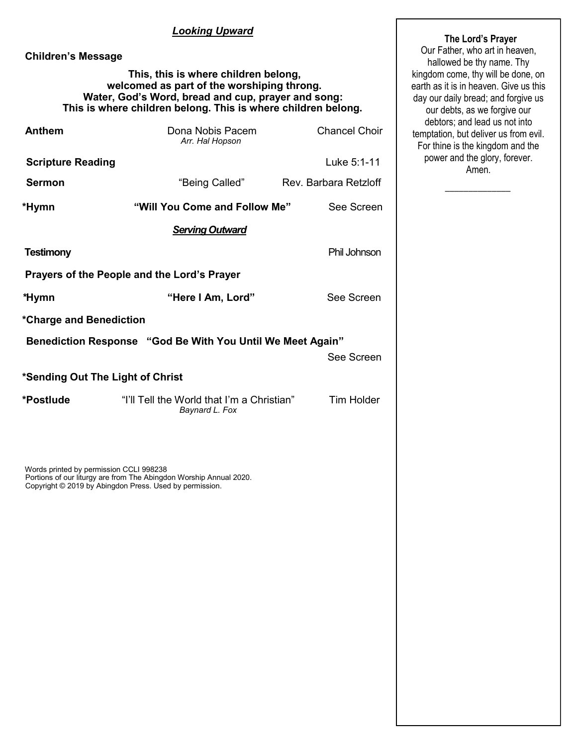# *Looking Upward*

# **Children's Message**

#### **This, this is where children belong, welcomed as part of the worshiping throng. Water, God's Word, bread and cup, prayer and song: This is where children belong. This is where children belong.**

| <b>Anthem</b>                                              | Dona Nobis Pacem<br>Arr. Hal Hopson                          | <b>Chancel Choir</b>  |  |  |
|------------------------------------------------------------|--------------------------------------------------------------|-----------------------|--|--|
| <b>Scripture Reading</b>                                   |                                                              | Luke 5:1-11           |  |  |
| <b>Sermon</b>                                              | "Being Called"                                               | Rev. Barbara Retzloff |  |  |
| *Hymn                                                      | "Will You Come and Follow Me"                                | See Screen            |  |  |
|                                                            | <b>Serving Outward</b>                                       |                       |  |  |
| <b>Testimony</b>                                           |                                                              | Phil Johnson          |  |  |
| Prayers of the People and the Lord's Prayer                |                                                              |                       |  |  |
| *Hymn                                                      | "Here I Am, Lord"                                            | See Screen            |  |  |
| *Charge and Benediction                                    |                                                              |                       |  |  |
| Benediction Response "God Be With You Until We Meet Again" |                                                              |                       |  |  |
|                                                            |                                                              | See Screen            |  |  |
| *Sending Out The Light of Christ                           |                                                              |                       |  |  |
| *Postlude                                                  | "I'll Tell the World that I'm a Christian"<br>Baynard L. Fox | <b>Tim Holder</b>     |  |  |

Words printed by permission CCLI 998238 Portions of our liturgy are from The Abingdon Worship Annual 2020. Copyright © 2019 by Abingdon Press. Used by permission.

#### **The Lord's Prayer**

Our Father, who art in heaven, hallowed be thy name. Thy kingdom come, thy will be done, on earth as it is in heaven. Give us this day our daily bread; and forgive us our debts, as we forgive our debtors; and lead us not into temptation, but deliver us from evil. For thine is the kingdom and the power and the glory, forever. Amen.

 $\overline{\phantom{a}}$  ,  $\overline{\phantom{a}}$  ,  $\overline{\phantom{a}}$  ,  $\overline{\phantom{a}}$  ,  $\overline{\phantom{a}}$  ,  $\overline{\phantom{a}}$  ,  $\overline{\phantom{a}}$  ,  $\overline{\phantom{a}}$  ,  $\overline{\phantom{a}}$  ,  $\overline{\phantom{a}}$  ,  $\overline{\phantom{a}}$  ,  $\overline{\phantom{a}}$  ,  $\overline{\phantom{a}}$  ,  $\overline{\phantom{a}}$  ,  $\overline{\phantom{a}}$  ,  $\overline{\phantom{a}}$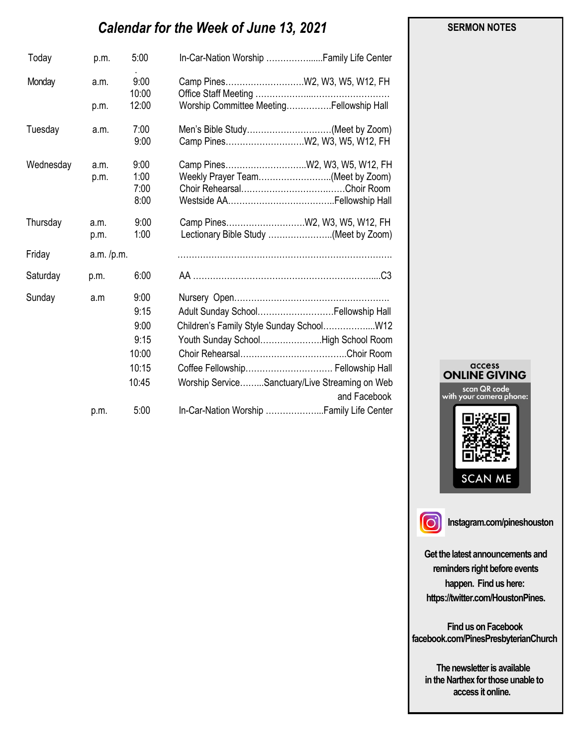# *Calendar for the Week of June 13, 2021*

| Today     | p.m.         | 5:00                                                    | In-Car-Nation Worship  Family Life Center                                                                                                                                                                                      |
|-----------|--------------|---------------------------------------------------------|--------------------------------------------------------------------------------------------------------------------------------------------------------------------------------------------------------------------------------|
| Monday    | a.m.         | 9:00<br>10:00                                           |                                                                                                                                                                                                                                |
|           | p.m.         | 12:00                                                   | Worship Committee MeetingFellowship Hall                                                                                                                                                                                       |
| Tuesday   | a.m.         | 7:00<br>9:00                                            | Men's Bible Study(Meet by Zoom)                                                                                                                                                                                                |
| Wednesday | a.m.<br>p.m. | 9:00<br>1:00<br>7:00<br>8:00                            | Weekly Prayer Team(Meet by Zoom)                                                                                                                                                                                               |
| Thursday  | a.m.<br>p.m. | 9:00<br>1:00                                            | Lectionary Bible Study (Meet by Zoom)                                                                                                                                                                                          |
| Friday    | a.m. /p.m.   |                                                         |                                                                                                                                                                                                                                |
| Saturday  | p.m.         | 6:00                                                    |                                                                                                                                                                                                                                |
| Sunday    | a.m          | 9:00<br>9:15<br>9:00<br>9:15<br>10:00<br>10:15<br>10:45 | Adult Sunday School Fellowship Hall<br>Children's Family Style Sunday School W12<br>Youth Sunday SchoolHigh School Room<br>Coffee Fellowship Fellowship Hall<br>Worship ServiceSanctuary/Live Streaming on Web<br>and Facebook |
|           | p.m.         | 5:00                                                    |                                                                                                                                                                                                                                |





**Instagram.com/pineshouston**

**Get the latest announcements and reminders right before events happen. Find us here: https://twitter.com/HoustonPines.** 

 **Find us on Facebook facebook.com/PinesPresbyterianChurch** 

 **The newsletter is available in the Narthex for those unable to access it online.** 

#### **SERMON NOTES**